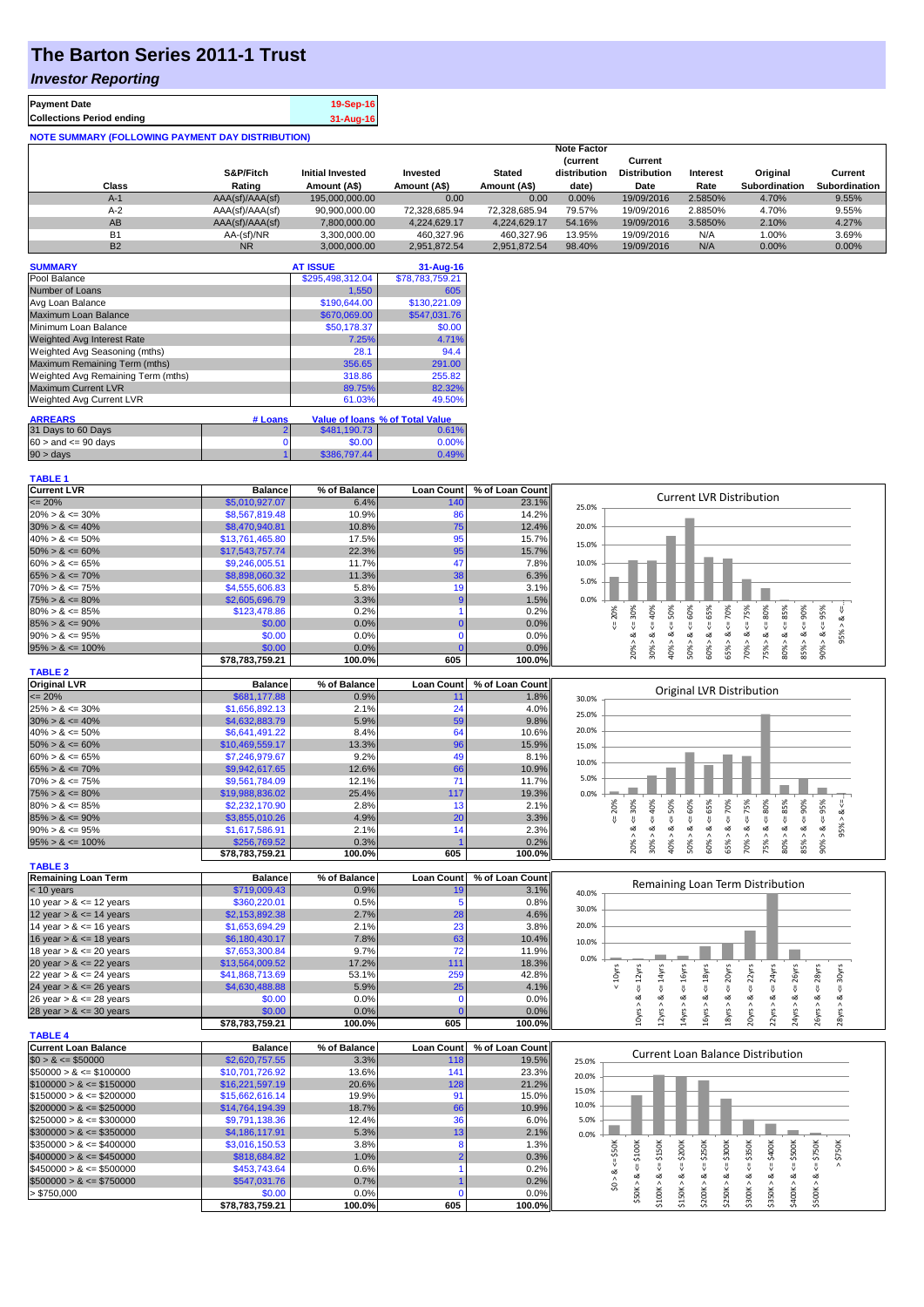## **The Barton Series 2011-1 Trust**

## *Investor Reporting*

| <b>Payment Date</b>                                      | 19-Sep-16 |
|----------------------------------------------------------|-----------|
| <b>Collections Period ending</b>                         | 31-Aug-16 |
| <b>NOTE SUMMARY (FOLLOWING PAYMENT DAY DISTRIBUTION)</b> |           |

|           | S&P/Fitch       | <b>Initial Invested</b> | Invested      | <b>Stated</b> | <b>Note Factor</b><br><b>Current</b><br>distribution | Current<br><b>Distribution</b> | Interest | Original      | Current       |
|-----------|-----------------|-------------------------|---------------|---------------|------------------------------------------------------|--------------------------------|----------|---------------|---------------|
| Class     | Rating          | Amount (A\$)            | Amount (A\$)  | Amount (A\$)  | date)                                                | Date                           | Rate     | Subordination | Subordination |
| $A-1$     | AAA(sf)/AAA(sf) | 195,000,000.00          | 0.00          | 0.00          | 0.00%                                                | 19/09/2016                     | 2.5850%  | 4.70%         | 9.55%         |
| $A-2$     | AAA(sf)/AAA(sf) | 90.900.000.00           | 72.328.685.94 | 72.328.685.94 | 79.57%                                               | 19/09/2016                     | 2.8850%  | 4.70%         | 9.55%         |
| AB        | AAA(sf)/AAA(sf) | 7.800.000.00            | 4.224.629.17  | 4.224.629.17  | 54.16%                                               | 19/09/2016                     | 3.5850%  | 2.10%         | 4.27%         |
| <b>B1</b> | AA-(sf)/NR      | 3,300,000.00            | 460.327.96    | 460.327.96    | 13.95%                                               | 19/09/2016                     | N/A      | 1.00%         | 3.69%         |
| <b>B2</b> | <b>NR</b>       | 3.000.000.00            | 2.951.872.54  | 2.951.872.54  | 98.40%                                               | 19/09/2016                     | N/A      | 0.00%         | 0.00%         |

| <b>SUMMARY</b>                     |         | <b>AT ISSUE</b>  | $31 - Aug-16$                          |
|------------------------------------|---------|------------------|----------------------------------------|
| Pool Balance                       |         | \$295,498,312.04 | \$78,783,759.21                        |
| Number of Loans                    |         | 1.550            | 605                                    |
| Avg Loan Balance                   |         | \$190,644.00     | \$130.221.09                           |
| Maximum Loan Balance               |         | \$670,069.00     | \$547,031.76                           |
| Minimum Loan Balance               |         | \$50,178.37      | \$0.00                                 |
| Weighted Avg Interest Rate         |         | 7.25%            | 4.71%                                  |
| Weighted Avg Seasoning (mths)      |         | 28.1             | 94.4                                   |
| Maximum Remaining Term (mths)      |         | 356.65           | 291.00                                 |
| Weighted Avg Remaining Term (mths) |         | 318.86           | 255.82                                 |
| <b>Maximum Current LVR</b>         |         | 89.75%           | 82.32%                                 |
| Weighted Avg Current LVR           |         | 61.03%           | 49.50%                                 |
| <b>ARREARS</b>                     | # Loans |                  | <b>Value of loans % of Total Value</b> |
| 31 Days to 60 Days                 |         | \$481,190.73     | 0.61%                                  |
| $60 >$ and $\leq 90$ days          |         | \$0.00           | 0.00%                                  |
| $90 > \text{days}$                 |         | \$386,797.44     | 0.49%                                  |

| <b>Current LVR</b>   | <b>Balance</b>  | % of Balance |     | Loan Count   % of Loan Count |       |    |   |   |   |    |    |                                 |    |   |            |  |
|----------------------|-----------------|--------------|-----|------------------------------|-------|----|---|---|---|----|----|---------------------------------|----|---|------------|--|
| $\leq$ 20%           | \$5,010,927.07  | 6.4%         | 140 | 23.1%                        | 25.0% |    |   |   |   |    |    | <b>Current LVR Distribution</b> |    |   |            |  |
| $20\% > 8 \le 30\%$  | \$8,567,819.48  | 10.9%        |     | 14.2%                        |       |    |   |   |   |    |    |                                 |    |   |            |  |
| $30\% > 8 \le 40\%$  | \$8,470,940.81  | 10.8%        | 75  | 12.4%                        | 20.0% |    |   |   |   |    |    |                                 |    |   |            |  |
| $40\% > 8 \le 50\%$  | \$13,761,465.80 | 17.5%        |     | 15.7%                        | 15.0% |    |   |   |   |    |    |                                 |    |   |            |  |
| $50\% > 8 \le 60\%$  | \$17,543,757,74 | 22.3%        | 95  | 15.7%                        |       |    |   |   |   |    |    |                                 |    |   |            |  |
| $60\% > 8 \le 65\%$  | \$9,246,005.51  | 11.7%        |     | 7.8%                         | 10.0% |    |   |   |   |    |    |                                 |    |   |            |  |
| $65\% > 8 \le 70\%$  | \$8,898,060.32  | 11.3%        | 38  | 6.3%                         | 5.0%  |    |   |   |   |    |    |                                 |    |   |            |  |
| $70\% > 8 \le 75\%$  | \$4,555,606.83  | 5.8%         |     | 3.1%                         |       |    |   |   |   |    |    |                                 |    |   |            |  |
| $75\% > 8 \le 80\%$  | \$2,605,696.79  | 3.3%         |     | 1.5%                         | 0.0%  |    |   |   |   |    |    |                                 |    |   |            |  |
| $80\% > 8 \le 85\%$  | \$123,478.86    | 0.2%         |     | 0.2%                         |       |    |   |   |   |    | ε  |                                 |    |   | <u>ត</u> ិ |  |
| $85\% > 8 \le 90\%$  | \$0.00          | 0.0%         |     | 0.0%                         |       |    |   |   |   |    |    |                                 |    |   |            |  |
| $90\% > 8 \le 95\%$  | \$0.00          | 0.0%         |     | $0.0\%$                      |       |    |   |   |   |    |    |                                 |    |   |            |  |
| $95\% > 8 \le 100\%$ | \$0.00          | 0.0%         |     | 0.0%                         |       |    |   |   | Ò |    |    |                                 | Ĥ. |   |            |  |
|                      | \$78.783.759.21 | 100.0%       | 605 | 100.0%l                      |       | ನಿ | Š | ₫ |   | S. | Ū3 | Ŕ                               |    | 8 | င္က        |  |

| <b>TABLE 2</b>       |                 |              |                   |                 |       |     |    |     |                           |    |               |    |                          |     |     |    |
|----------------------|-----------------|--------------|-------------------|-----------------|-------|-----|----|-----|---------------------------|----|---------------|----|--------------------------|-----|-----|----|
| <b>Original LVR</b>  | <b>Balance</b>  | % of Balance | <b>Loan Count</b> | % of Loan Count |       |     |    |     |                           |    |               |    |                          |     |     |    |
| $\leq$ 20%           | \$681,177.88    | 0.9%         |                   | 1.8%            | 30.0% |     |    |     | Original LVR Distribution |    |               |    |                          |     |     |    |
| $25\% > 8 \le 30\%$  | \$1,656,892.13  | 2.1%         | 24                | 4.0%            | 25.0% |     |    |     |                           |    |               |    |                          |     |     |    |
| $30\% > 8 \le 40\%$  | \$4,632,883.79  | 5.9%         | 59                | 9.8%            |       |     |    |     |                           |    |               |    |                          |     |     |    |
| $40\% > 8 \le 50\%$  | \$6.641.491.22  | 8.4%         | 64                | 10.6%           | 20.0% |     |    |     |                           |    |               |    |                          |     |     |    |
| $50\% > 8 \le 60\%$  | \$10.469.559.17 | 13.3%        | 96                | 15.9%           | 15.0% |     |    |     |                           |    |               |    |                          |     |     |    |
| $60\% > 8 \le 65\%$  | \$7,246,979.67  | 9.2%         | 49                | 8.1%            | 10.0% |     |    |     |                           |    |               |    |                          |     |     |    |
| $65\% > 8 \le 70\%$  | \$9,942,617,65  | 12.6%        | 66                | 10.9%           |       |     |    |     |                           |    |               |    |                          |     |     |    |
| $70\% > 8 \le 75\%$  | \$9,561,784.09  | 12.1%        | 71                | 11.7%           | 5.0%  |     |    |     |                           |    |               |    |                          |     |     |    |
| $75\% > 8 \le 80\%$  | \$19,988,836,02 | 25.4%        | 117               | 19.3%           | 0.0%  |     |    |     |                           |    |               |    |                          |     |     |    |
| $80\% > 8 \le 85\%$  | \$2,232,170.90  | 2.8%         | 13 <sub>1</sub>   | 2.1%            |       | 20% | కి | 50% | š,                        | S. | $\frac{8}{6}$ | 5% | ន្ណិ                     | e.  | 80% | S% |
| $85\% > 8 \le 90\%$  | \$3,855,010.26  | 4.9%         | 20                | 3.3%            |       |     |    |     |                           |    |               |    |                          |     |     |    |
| $90\% > 8 \le 95\%$  | \$1,617,586.91  | 2.1%         | 14 <sub>1</sub>   | 2.3%            |       |     |    | ∞   |                           |    |               | ಯಿ |                          |     |     | œ  |
| $95\% > 8 \le 100\%$ | \$256,769.52    | 0.3%         |                   | 0.2%            |       |     |    | ò   |                           |    |               |    |                          |     |     |    |
|                      | 670.702.750.24  | 400.001      | <b>COF</b>        | 400.001         |       |     | ສ  |     |                           |    | ιń            | Ŕ  | $\overline{\phantom{0}}$ | င္တ | 55  | Š  |

|                            | \$78,783,759.21 | 100.0%       | 605               | 100.0%          | g     |
|----------------------------|-----------------|--------------|-------------------|-----------------|-------|
| <b>TABLE 3</b>             |                 |              |                   |                 |       |
| <b>Remaining Loan Term</b> | <b>Balance</b>  | % of Balance | <b>Loan Count</b> | % of Loan Count | Rer   |
| $<$ 10 years               | \$719,009.43    | 0.9%         | 19                | 3.1%            | 40.0% |
| 10 year $> 8 \le 12$ years | \$360,220.01    | 0.5%         |                   | $0.8\%$         | 30.0% |
| 12 year $> 8 \le 14$ years | \$2,153,892.38  | 2.7%         | 28                | 4.6%            |       |
| 14 year $> 8 \le 16$ years | \$1,653,694.29  | 2.1%         | 23                | 3.8%            | 20.0% |
| 16 year $> 8 \le 18$ years | \$6,180,430.17  | 7.8%         | 63                | 10.4%           | 10.0% |
| 18 year $> 8 \le 20$ years | \$7,653,300.84  | 9.7%         | 72                | 11.9%           |       |
| 20 year $> 8 \le 22$ years | \$13,564,009.52 | 17.2%        | 111               | 18.3%           | 0.0%  |
| 22 year $> 8 \le 24$ years | \$41,868,713.69 | 53.1%        | 259               | 42.8%           | 12yrs |
| 24 year $> 8 \le 26$ years | \$4,630,488.88  | 5.9%         | 25                | 4.1%            |       |
| 26 year $> 8 \le 28$ years | \$0.00          | 0.0%         |                   | $0.0\%$         |       |
| 28 year $> 8 \le 30$ years | \$0.00          | $0.0\%$      |                   | $0.0\%$         |       |

**\$78,783,759.21 100.0% 605 100.0%**



 $95% > 8 <=$ .

|                              | 0.10, 100, 100.21 | 100.076      | ບບບ               | <b>100.070</b>  |       | −                    | $\blacksquare$       |                      |        |   |         |                                   |         |     | $\sim$ |  |
|------------------------------|-------------------|--------------|-------------------|-----------------|-------|----------------------|----------------------|----------------------|--------|---|---------|-----------------------------------|---------|-----|--------|--|
| <b>TABLE 4</b>               |                   |              |                   |                 |       |                      |                      |                      |        |   |         |                                   |         |     |        |  |
| <b>Current Loan Balance</b>  | <b>Balance</b>    | % of Balance | <b>Loan Count</b> | % of Loan Count |       |                      |                      |                      |        |   |         | Current Loan Balance Distribution |         |     |        |  |
| $$0 > 8 \leq $50000$         | \$2,620,757.55    | 3.3%         | 118               | 19.5%           | 25.0% |                      |                      |                      |        |   |         |                                   |         |     |        |  |
| $$50000 > 8 \leq $100000$    | \$10,701,726.92   | 13.6%        | 141               | 23.3%           | 20.0% |                      |                      |                      |        |   |         |                                   |         |     |        |  |
| $$100000 > 8 \leq $150000$   | \$16,221,597.19   | 20.6%        | 128               | 21.2%           |       |                      |                      |                      |        |   |         |                                   |         |     |        |  |
| $$150000 > 8 \leq $200000$   | \$15,662,616.14   | 19.9%        | 9 <sup>o</sup>    | 15.0%           | 15.0% |                      |                      |                      |        |   |         |                                   |         |     |        |  |
| $$200000 > 8 \leq $250000$   | \$14,764,194.39   | 18.7%        | 66                | 10.9%           | 10.0% |                      |                      |                      |        |   |         |                                   |         |     |        |  |
| $$250000 > 8 \leq $300000$   | \$9,791,138.36    | 12.4%        | 36                | 6.0%            | 5.0%  |                      |                      |                      |        |   |         |                                   |         |     |        |  |
| $$300000 > 8 \leq $350000$   | \$4,186,117,91    | 5.3%         |                   | 2.1%            | 0.0%  |                      |                      |                      |        |   |         |                                   |         |     |        |  |
| $\$350000 > 8 \leq \$400000$ | \$3,016,150.53    | 3.8%         |                   | 1.3%            |       |                      | ă                    | 200K                 |        | ă | 50K     | ÖК                                | ÖОК     | š   |        |  |
| $$400000 > 8 \leq $450000$   | \$818,684.82      | 1.0%         |                   | 0.3%            |       | $\ddot{\phantom{1}}$ | $\ddot{\bm{\alpha}}$ | $\ddot{\phantom{1}}$ | \$250K |   | m<br>٠ň |                                   | ഗ<br>۰ń | ٠Ö٦ |        |  |
| $$450000 > 8 \leq $500000$   | \$453,743.64      | 0.6%         |                   | 0.2%            |       |                      |                      |                      |        |   |         |                                   |         |     |        |  |
| $$500000 > 8 \leq $750000$   | \$547,031.76      | 0.7%         |                   | 0.2%            |       |                      |                      |                      |        |   |         | ∾                                 |         |     |        |  |
| > \$750,000                  | \$0.00            | 0.0%         |                   | $0.0\%$         |       |                      |                      |                      |        |   |         |                                   |         |     |        |  |
|                              | \$78.783.759.21   | 100.0%       | 605               | 100.0%          |       |                      |                      |                      |        |   |         |                                   |         |     |        |  |